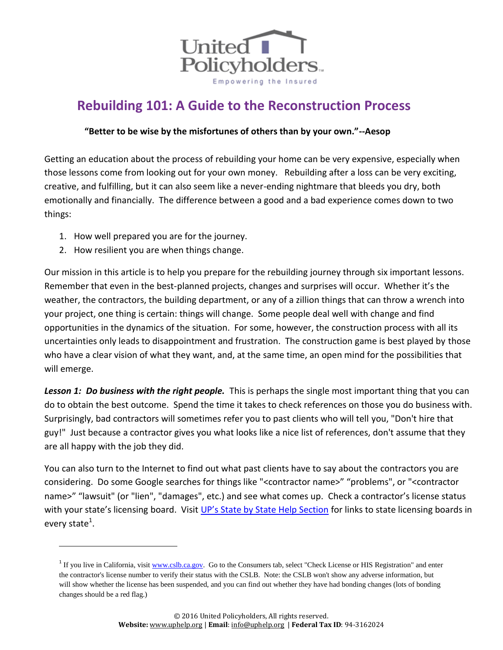

## **Rebuilding 101: A Guide to the Reconstruction Process**

## **"Better to be wise by the misfortunes of others than by your own."--Aesop**

Getting an education about the process of rebuilding your home can be very expensive, especially when those lessons come from looking out for your own money. Rebuilding after a loss can be very exciting, creative, and fulfilling, but it can also seem like a never-ending nightmare that bleeds you dry, both emotionally and financially. The difference between a good and a bad experience comes down to two things:

- 1. How well prepared you are for the journey.
- 2. How resilient you are when things change.

 $\overline{a}$ 

Our mission in this article is to help you prepare for the rebuilding journey through six important lessons. Remember that even in the best-planned projects, changes and surprises will occur. Whether it's the weather, the contractors, the building department, or any of a zillion things that can throw a wrench into your project, one thing is certain: things will change. Some people deal well with change and find opportunities in the dynamics of the situation. For some, however, the construction process with all its uncertainties only leads to disappointment and frustration. The construction game is best played by those who have a clear vision of what they want, and, at the same time, an open mind for the possibilities that will emerge.

*Lesson 1: Do business with the right people.* This is perhaps the single most important thing that you can do to obtain the best outcome. Spend the time it takes to check references on those you do business with. Surprisingly, bad contractors will sometimes refer you to past clients who will tell you, "Don't hire that guy!" Just because a contractor gives you what looks like a nice list of references, don't assume that they are all happy with the job they did.

You can also turn to the Internet to find out what past clients have to say about the contractors you are considering. Do some Google searches for things like "<contractor name>" "problems", or "<contractor name>" "lawsuit" (or "lien", "damages", etc.) and see what comes up. Check a contractor's license status with your state's licensing board. Visit [UP's State by State Help Section](http://www.uphelp.org/resources/state-by-state) for links to state licensing boards in every state<sup>1</sup>.

<sup>&</sup>lt;sup>1</sup> If you live in California, visit **www.cslb.ca.gov**. Go to the Consumers tab, select "Check License or HIS Registration" and enter the contractor's license number to verify their status with the CSLB. Note: the CSLB won't show any adverse information, but will show whether the license has been suspended, and you can find out whether they have had bonding changes (lots of bonding changes should be a red flag.)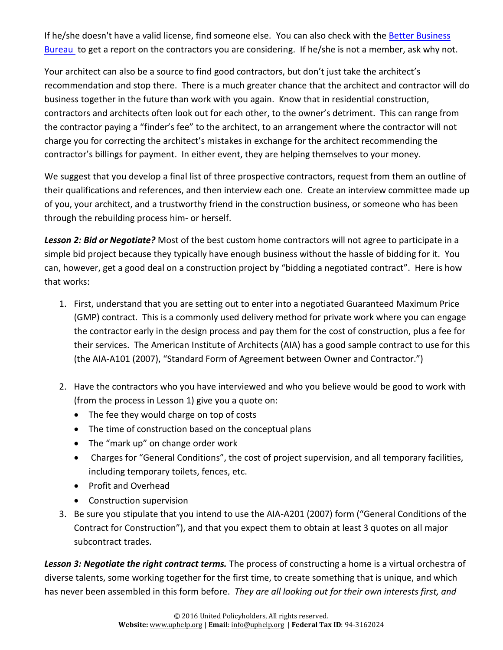If he/she doesn't have a valid license, find someone else. You can also check with the [Better Business](http://www.bbb.org/council)  [Bureau](http://www.bbb.org/council) to get a report on the contractors you are considering. If he/she is not a member, ask why not.

Your architect can also be a source to find good contractors, but don't just take the architect's recommendation and stop there. There is a much greater chance that the architect and contractor will do business together in the future than work with you again. Know that in residential construction, contractors and architects often look out for each other, to the owner's detriment. This can range from the contractor paying a "finder's fee" to the architect, to an arrangement where the contractor will not charge you for correcting the architect's mistakes in exchange for the architect recommending the contractor's billings for payment. In either event, they are helping themselves to your money.

We suggest that you develop a final list of three prospective contractors, request from them an outline of their qualifications and references, and then interview each one. Create an interview committee made up of you, your architect, and a trustworthy friend in the construction business, or someone who has been through the rebuilding process him- or herself.

*Lesson 2: Bid or Negotiate?* Most of the best custom home contractors will not agree to participate in a simple bid project because they typically have enough business without the hassle of bidding for it. You can, however, get a good deal on a construction project by "bidding a negotiated contract". Here is how that works:

- 1. First, understand that you are setting out to enter into a negotiated Guaranteed Maximum Price (GMP) contract. This is a commonly used delivery method for private work where you can engage the contractor early in the design process and pay them for the cost of construction, plus a fee for their services. The American Institute of Architects (AIA) has a good sample contract to use for this (the AIA-A101 (2007), "Standard Form of Agreement between Owner and Contractor.")
- 2. Have the contractors who you have interviewed and who you believe would be good to work with (from the process in Lesson 1) give you a quote on:
	- The fee they would charge on top of costs
	- The time of construction based on the conceptual plans
	- The "mark up" on change order work
	- Charges for "General Conditions", the cost of project supervision, and all temporary facilities, including temporary toilets, fences, etc.
	- Profit and Overhead
	- Construction supervision
- 3. Be sure you stipulate that you intend to use the AIA-A201 (2007) form ("General Conditions of the Contract for Construction"), and that you expect them to obtain at least 3 quotes on all major subcontract trades.

*Lesson 3: Negotiate the right contract terms.* The process of constructing a home is a virtual orchestra of diverse talents, some working together for the first time, to create something that is unique, and which has never been assembled in this form before. *They are all looking out for their own interests first, and*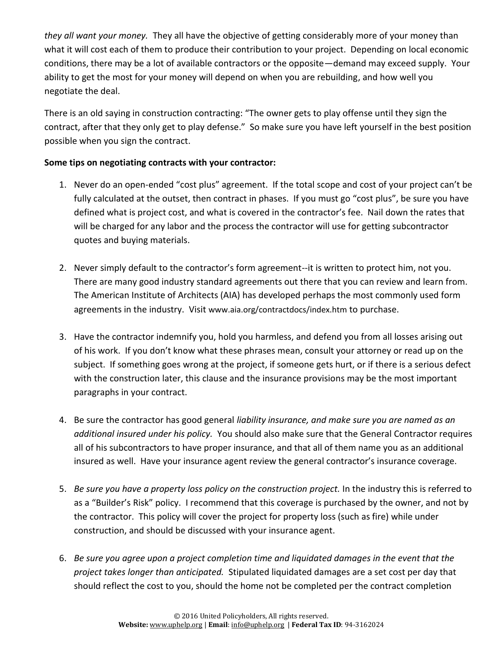*they all want your money.* They all have the objective of getting considerably more of your money than what it will cost each of them to produce their contribution to your project. Depending on local economic conditions, there may be a lot of available contractors or the opposite—demand may exceed supply. Your ability to get the most for your money will depend on when you are rebuilding, and how well you negotiate the deal.

There is an old saying in construction contracting: "The owner gets to play offense until they sign the contract, after that they only get to play defense." So make sure you have left yourself in the best position possible when you sign the contract.

## **Some tips on negotiating contracts with your contractor:**

- 1. Never do an open-ended "cost plus" agreement. If the total scope and cost of your project can't be fully calculated at the outset, then contract in phases. If you must go "cost plus", be sure you have defined what is project cost, and what is covered in the contractor's fee. Nail down the rates that will be charged for any labor and the process the contractor will use for getting subcontractor quotes and buying materials.
- 2. Never simply default to the contractor's form agreement--it is written to protect him, not you. There are many good industry standard agreements out there that you can review and learn from. The American Institute of Architects (AIA) has developed perhaps the most commonly used form agreements in the industry. Visit [www.aia.org/contractdocs/index.htm](http://www.aia.org/contractdocs/index.htm) to purchase.
- 3. Have the contractor indemnify you, hold you harmless, and defend you from all losses arising out of his work. If you don't know what these phrases mean, consult your attorney or read up on the subject. If something goes wrong at the project, if someone gets hurt, or if there is a serious defect with the construction later, this clause and the insurance provisions may be the most important paragraphs in your contract.
- 4. Be sure the contractor has good general *liability insurance, and make sure you are named as an additional insured under his policy.* You should also make sure that the General Contractor requires all of his subcontractors to have proper insurance, and that all of them name you as an additional insured as well. Have your insurance agent review the general contractor's insurance coverage.
- 5. *Be sure you have a property loss policy on the construction project.* In the industry this is referred to as a "Builder's Risk" policy. I recommend that this coverage is purchased by the owner, and not by the contractor. This policy will cover the project for property loss (such as fire) while under construction, and should be discussed with your insurance agent.
- 6. *Be sure you agree upon a project completion time and liquidated damages in the event that the project takes longer than anticipated.* Stipulated liquidated damages are a set cost per day that should reflect the cost to you, should the home not be completed per the contract completion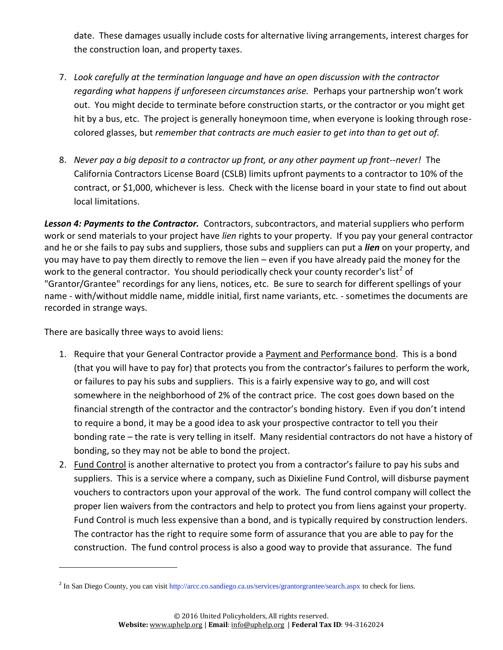date. These damages usually include costs for alternative living arrangements, interest charges for the construction loan, and property taxes.

- 7. *Look carefully at the termination language and have an open discussion with the contractor regarding what happens if unforeseen circumstances arise.* Perhaps your partnership won't work out. You might decide to terminate before construction starts, or the contractor or you might get hit by a bus, etc. The project is generally honeymoon time, when everyone is looking through rosecolored glasses, but *remember that contracts are much easier to get into than to get out of.*
- 8. *Never pay a big deposit to a contractor up front, or any other payment up front--never!* The California Contractors License Board (CSLB) limits upfront payments to a contractor to 10% of the contract, or \$1,000, whichever is less. Check with the license board in your state to find out about local limitations.

*Lesson 4: Payments to the Contractor.* Contractors, subcontractors, and material suppliers who perform work or send materials to your project have *lien* rights to your property. If you pay your general contractor and he or she fails to pay subs and suppliers, those subs and suppliers can put a *lien* on your property, and you may have to pay them directly to remove the lien – even if you have already paid the money for the work to the general contractor. You should periodically check your county recorder's list<sup>2</sup> of "Grantor/Grantee" recordings for any liens, notices, etc. Be sure to search for different spellings of your name - with/without middle name, middle initial, first name variants, etc. - sometimes the documents are recorded in strange ways.

There are basically three ways to avoid liens:

 $\overline{\phantom{a}}$ 

- 1. Require that your General Contractor provide a Payment and Performance bond. This is a bond (that you will have to pay for) that protects you from the contractor's failures to perform the work, or failures to pay his subs and suppliers. This is a fairly expensive way to go, and will cost somewhere in the neighborhood of 2% of the contract price. The cost goes down based on the financial strength of the contractor and the contractor's bonding history. Even if you don't intend to require a bond, it may be a good idea to ask your prospective contractor to tell you their bonding rate – the rate is very telling in itself. Many residential contractors do not have a history of bonding, so they may not be able to bond the project.
- 2. Fund Control is another alternative to protect you from a contractor's failure to pay his subs and suppliers. This is a service where a company, such as Dixieline Fund Control, will disburse payment vouchers to contractors upon your approval of the work. The fund control company will collect the proper lien waivers from the contractors and help to protect you from liens against your property. Fund Control is much less expensive than a bond, and is typically required by construction lenders. The contractor has the right to require some form of assurance that you are able to pay for the construction. The fund control process is also a good way to provide that assurance. The fund

<sup>&</sup>lt;sup>2</sup> In San Diego County, you can visit [http://arcc.co.sandiego.ca.us/services/grantorgrantee/search.aspx](http://arcc.co.san-diego.ca.us/services/grantorgrantee/search.aspx) to check for liens.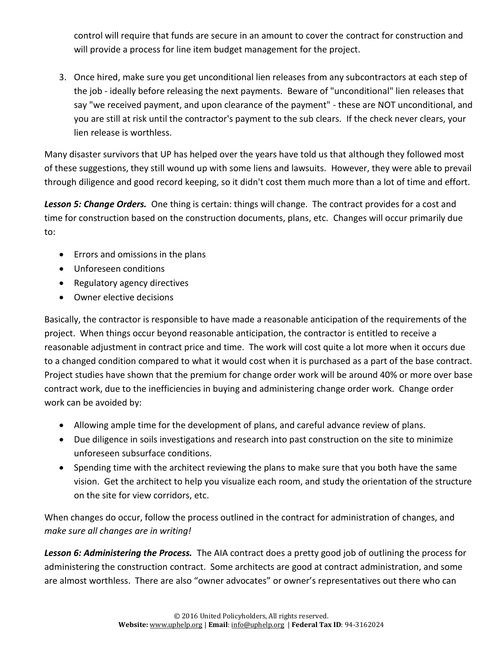control will require that funds are secure in an amount to cover the contract for construction and will provide a process for line item budget management for the project.

3. Once hired, make sure you get unconditional lien releases from any subcontractors at each step of the job - ideally before releasing the next payments. Beware of "unconditional" lien releases that say "we received payment, and upon clearance of the payment" - these are NOT unconditional, and you are still at risk until the contractor's payment to the sub clears. If the check never clears, your lien release is worthless.

Many disaster survivors that UP has helped over the years have told us that although they followed most of these suggestions, they still wound up with some liens and lawsuits. However, they were able to prevail through diligence and good record keeping, so it didn't cost them much more than a lot of time and effort.

*Lesson 5: Change Orders.* One thing is certain: things will change. The contract provides for a cost and time for construction based on the construction documents, plans, etc. Changes will occur primarily due to:

- Errors and omissions in the plans
- Unforeseen conditions
- Regulatory agency directives
- Owner elective decisions

Basically, the contractor is responsible to have made a reasonable anticipation of the requirements of the project. When things occur beyond reasonable anticipation, the contractor is entitled to receive a reasonable adjustment in contract price and time. The work will cost quite a lot more when it occurs due to a changed condition compared to what it would cost when it is purchased as a part of the base contract. Project studies have shown that the premium for change order work will be around 40% or more over base contract work, due to the inefficiencies in buying and administering change order work. Change order work can be avoided by:

- Allowing ample time for the development of plans, and careful advance review of plans.
- Due diligence in soils investigations and research into past construction on the site to minimize unforeseen subsurface conditions.
- Spending time with the architect reviewing the plans to make sure that you both have the same vision. Get the architect to help you visualize each room, and study the orientation of the structure on the site for view corridors, etc.

When changes do occur, follow the process outlined in the contract for administration of changes, and *make sure all changes are in writing!*

*Lesson 6: Administering the Process.* The AIA contract does a pretty good job of outlining the process for administering the construction contract. Some architects are good at contract administration, and some are almost worthless. There are also "owner advocates" or owner's representatives out there who can